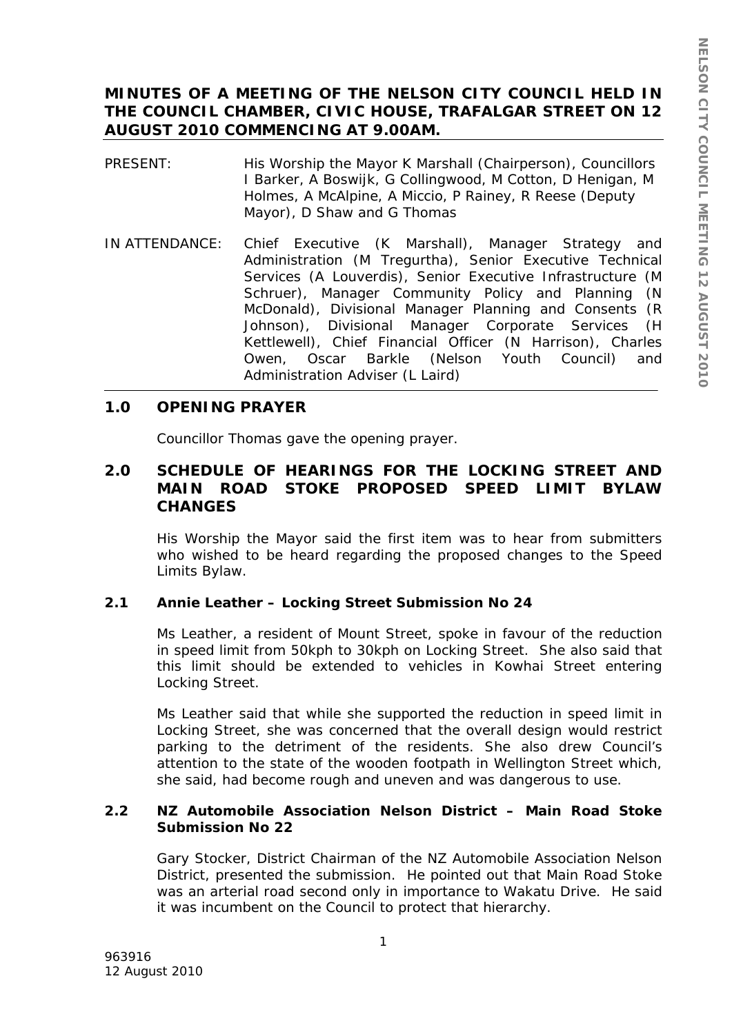# **MINUTES OF A MEETING OF THE NELSON CITY COUNCIL HELD IN THE COUNCIL CHAMBER, CIVIC HOUSE, TRAFALGAR STREET ON 12 AUGUST 2010 COMMENCING AT 9.00AM.**

- PRESENT: His Worship the Mayor K Marshall (Chairperson), Councillors I Barker, A Boswijk, G Collingwood, M Cotton, D Henigan, M Holmes, A McAlpine, A Miccio, P Rainey, R Reese (Deputy Mayor), D Shaw and G Thomas
- IN ATTENDANCE: Chief Executive (K Marshall), Manager Strategy and Administration (M Tregurtha), Senior Executive Technical Services (A Louverdis), Senior Executive Infrastructure (M Schruer), Manager Community Policy and Planning (N McDonald), Divisional Manager Planning and Consents (R Johnson), Divisional Manager Corporate Services (H Kettlewell), Chief Financial Officer (N Harrison), Charles Owen, Oscar Barkle (Nelson Youth Council) and Administration Adviser (L Laird)

# **1.0 OPENING PRAYER**

Councillor Thomas gave the opening prayer.

# **2.0 SCHEDULE OF HEARINGS FOR THE LOCKING STREET AND MAIN ROAD STOKE PROPOSED SPEED LIMIT BYLAW CHANGES**

His Worship the Mayor said the first item was to hear from submitters who wished to be heard regarding the proposed changes to the Speed Limits Bylaw.

# **2.1 Annie Leather – Locking Street Submission No 24**

Ms Leather, a resident of Mount Street, spoke in favour of the reduction in speed limit from 50kph to 30kph on Locking Street. She also said that this limit should be extended to vehicles in Kowhai Street entering Locking Street.

Ms Leather said that while she supported the reduction in speed limit in Locking Street, she was concerned that the overall design would restrict parking to the detriment of the residents. She also drew Council's attention to the state of the wooden footpath in Wellington Street which, she said, had become rough and uneven and was dangerous to use.

## **2.2 NZ Automobile Association Nelson District – Main Road Stoke Submission No 22**

Gary Stocker, District Chairman of the NZ Automobile Association Nelson District, presented the submission. He pointed out that Main Road Stoke was an arterial road second only in importance to Wakatu Drive. He said it was incumbent on the Council to protect that hierarchy.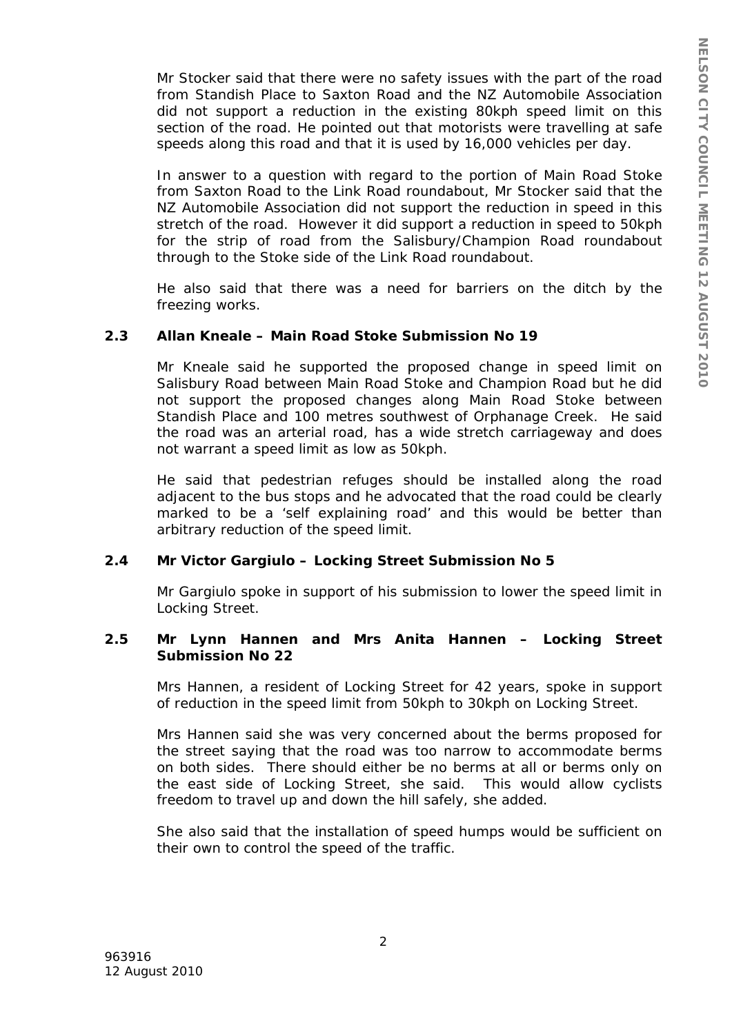Mr Stocker said that there were no safety issues with the part of the road from Standish Place to Saxton Road and the NZ Automobile Association did not support a reduction in the existing 80kph speed limit on this section of the road. He pointed out that motorists were travelling at safe speeds along this road and that it is used by 16,000 vehicles per day.

In answer to a question with regard to the portion of Main Road Stoke from Saxton Road to the Link Road roundabout, Mr Stocker said that the NZ Automobile Association did not support the reduction in speed in this stretch of the road. However it did support a reduction in speed to 50kph for the strip of road from the Salisbury/Champion Road roundabout through to the Stoke side of the Link Road roundabout.

He also said that there was a need for barriers on the ditch by the freezing works.

#### **2.3 Allan Kneale – Main Road Stoke Submission No 19**

Mr Kneale said he supported the proposed change in speed limit on Salisbury Road between Main Road Stoke and Champion Road but he did not support the proposed changes along Main Road Stoke between Standish Place and 100 metres southwest of Orphanage Creek. He said the road was an arterial road, has a wide stretch carriageway and does not warrant a speed limit as low as 50kph.

He said that pedestrian refuges should be installed along the road adjacent to the bus stops and he advocated that the road could be clearly marked to be a 'self explaining road' and this would be better than arbitrary reduction of the speed limit.

### **2.4 Mr Victor Gargiulo – Locking Street Submission No 5**

Mr Gargiulo spoke in support of his submission to lower the speed limit in Locking Street.

### **2.5 Mr Lynn Hannen and Mrs Anita Hannen – Locking Street Submission No 22**

Mrs Hannen, a resident of Locking Street for 42 years, spoke in support of reduction in the speed limit from 50kph to 30kph on Locking Street.

Mrs Hannen said she was very concerned about the berms proposed for the street saying that the road was too narrow to accommodate berms on both sides. There should either be no berms at all or berms only on the east side of Locking Street, she said. This would allow cyclists freedom to travel up and down the hill safely, she added.

She also said that the installation of speed humps would be sufficient on their own to control the speed of the traffic.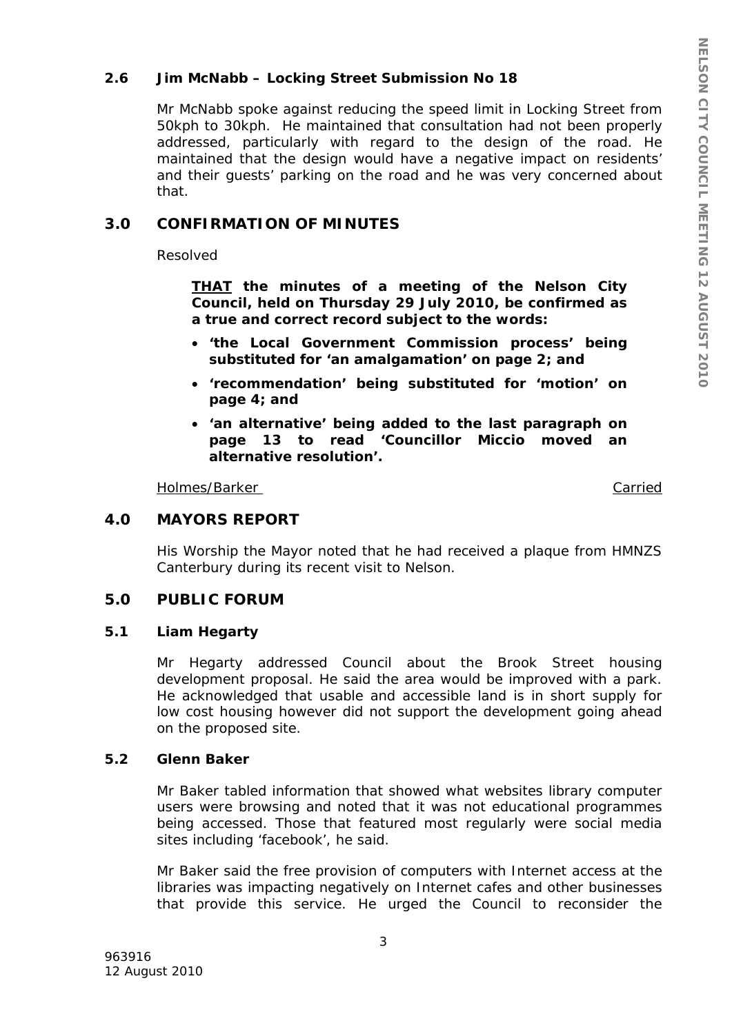## **2.6 Jim McNabb – Locking Street Submission No 18**

Mr McNabb spoke against reducing the speed limit in Locking Street from 50kph to 30kph. He maintained that consultation had not been properly addressed, particularly with regard to the design of the road. He maintained that the design would have a negative impact on residents' and their guests' parking on the road and he was very concerned about that.

## **3.0 CONFIRMATION OF MINUTES**

Resolved

*THAT the minutes of a meeting of the Nelson City Council, held on Thursday 29 July 2010, be confirmed as a true and correct record subject to the words:* 

- *'the Local Government Commission process' being substituted for 'an amalgamation' on page 2; and*
- *'recommendation' being substituted for 'motion' on page 4; and*
- *'an alternative' being added to the last paragraph on page 13 to read 'Councillor Miccio moved an alternative resolution'.*

Holmes/Barker Carried

### **4.0 MAYORS REPORT**

His Worship the Mayor noted that he had received a plaque from HMNZS Canterbury during its recent visit to Nelson.

#### **5.0 PUBLIC FORUM**

#### **5.1 Liam Hegarty**

Mr Hegarty addressed Council about the Brook Street housing development proposal. He said the area would be improved with a park. He acknowledged that usable and accessible land is in short supply for low cost housing however did not support the development going ahead on the proposed site.

### **5.2 Glenn Baker**

Mr Baker tabled information that showed what websites library computer users were browsing and noted that it was not educational programmes being accessed. Those that featured most regularly were social media sites including 'facebook', he said.

Mr Baker said the free provision of computers with Internet access at the libraries was impacting negatively on Internet cafes and other businesses that provide this service. He urged the Council to reconsider the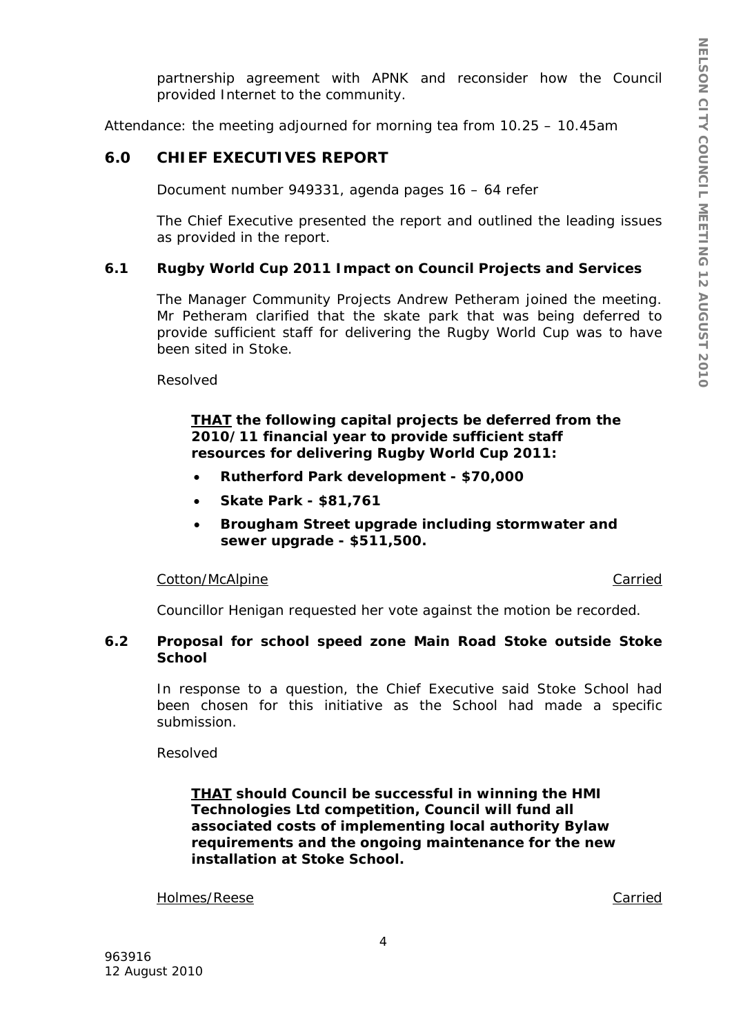partnership agreement with APNK and reconsider how the Council provided Internet to the community.

Attendance: the meeting adjourned for morning tea from 10.25 – 10.45am

### **6.0 CHIEF EXECUTIVES REPORT**

Document number 949331, agenda pages 16 – 64 refer

The Chief Executive presented the report and outlined the leading issues as provided in the report.

#### **6.1 Rugby World Cup 2011 Impact on Council Projects and Services**

The Manager Community Projects Andrew Petheram joined the meeting. Mr Petheram clarified that the skate park that was being deferred to provide sufficient staff for delivering the Rugby World Cup was to have been sited in Stoke.

Resolved

#### *THAT the following capital projects be deferred from the 2010/11 financial year to provide sufficient staff resources for delivering Rugby World Cup 2011:*

- *Rutherford Park development \$70,000*
- *Skate Park \$81,761*
- *Brougham Street upgrade including stormwater and sewer upgrade - \$511,500.*

#### Cotton/McAlpine Carried

Councillor Henigan requested her vote against the motion be recorded.

### **6.2 Proposal for school speed zone Main Road Stoke outside Stoke School**

In response to a question, the Chief Executive said Stoke School had been chosen for this initiative as the School had made a specific submission.

Resolved

*THAT should Council be successful in winning the HMI Technologies Ltd competition, Council will fund all associated costs of implementing local authority Bylaw requirements and the ongoing maintenance for the new installation at Stoke School.* 

Holmes/Reese Carried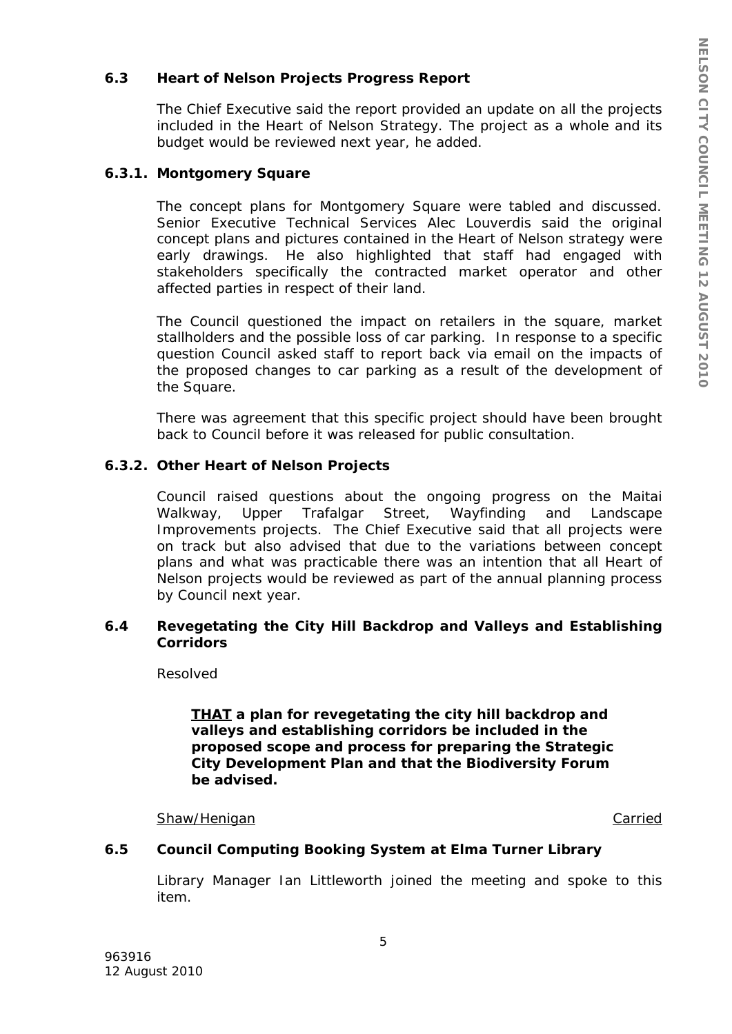## **6.3 Heart of Nelson Projects Progress Report**

The Chief Executive said the report provided an update on all the projects included in the Heart of Nelson Strategy. The project as a whole and its budget would be reviewed next year, he added.

### **6.3.1. Montgomery Square**

The concept plans for Montgomery Square were tabled and discussed. Senior Executive Technical Services Alec Louverdis said the original concept plans and pictures contained in the Heart of Nelson strategy were early drawings. He also highlighted that staff had engaged with stakeholders specifically the contracted market operator and other affected parties in respect of their land.

The Council questioned the impact on retailers in the square, market stallholders and the possible loss of car parking. In response to a specific question Council asked staff to report back via email on the impacts of the proposed changes to car parking as a result of the development of the Square.

There was agreement that this specific project should have been brought back to Council before it was released for public consultation.

## **6.3.2. Other Heart of Nelson Projects**

Council raised questions about the ongoing progress on the Maitai Walkway, Upper Trafalgar Street, Wayfinding and Landscape Improvements projects. The Chief Executive said that all projects were on track but also advised that due to the variations between concept plans and what was practicable there was an intention that all Heart of Nelson projects would be reviewed as part of the annual planning process by Council next year.

### **6.4 Revegetating the City Hill Backdrop and Valleys and Establishing Corridors**

Resolved

*THAT a plan for revegetating the city hill backdrop and valleys and establishing corridors be included in the proposed scope and process for preparing the Strategic City Development Plan and that the Biodiversity Forum be advised.* 

#### Shaw/Henigan Carried

### **6.5 Council Computing Booking System at Elma Turner Library**

Library Manager Ian Littleworth joined the meeting and spoke to this item.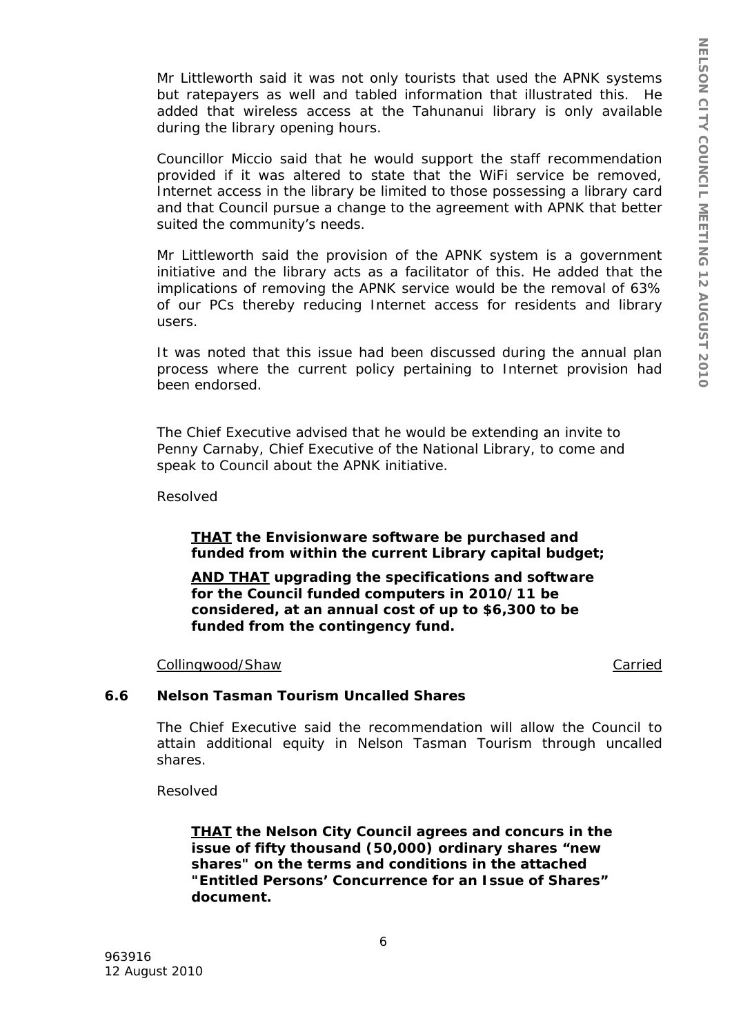Mr Littleworth said it was not only tourists that used the APNK systems but ratepayers as well and tabled information that illustrated this. He added that wireless access at the Tahunanui library is only available during the library opening hours.

Councillor Miccio said that he would support the staff recommendation provided if it was altered to state that the WiFi service be removed, Internet access in the library be limited to those possessing a library card and that Council pursue a change to the agreement with APNK that better suited the community's needs.

Mr Littleworth said the provision of the APNK system is a government initiative and the library acts as a facilitator of this. He added that the implications of removing the APNK service would be the removal of 63% of our PCs thereby reducing Internet access for residents and library users.

It was noted that this issue had been discussed during the annual plan process where the current policy pertaining to Internet provision had been endorsed.

The Chief Executive advised that he would be extending an invite to Penny Carnaby, Chief Executive of the National Library, to come and speak to Council about the APNK initiative.

Resolved

### *THAT the Envisionware software be purchased and funded from within the current Library capital budget;*

*AND THAT upgrading the specifications and software for the Council funded computers in 2010/11 be considered, at an annual cost of up to \$6,300 to be funded from the contingency fund.* 

Collingwood/Shaw Carried

#### **6.6 Nelson Tasman Tourism Uncalled Shares**

The Chief Executive said the recommendation will allow the Council to attain additional equity in Nelson Tasman Tourism through uncalled shares.

Resolved

*THAT the Nelson City Council agrees and concurs in the issue of fifty thousand (50,000) ordinary shares "new shares" on the terms and conditions in the attached "Entitled Persons' Concurrence for an Issue of Shares" document.*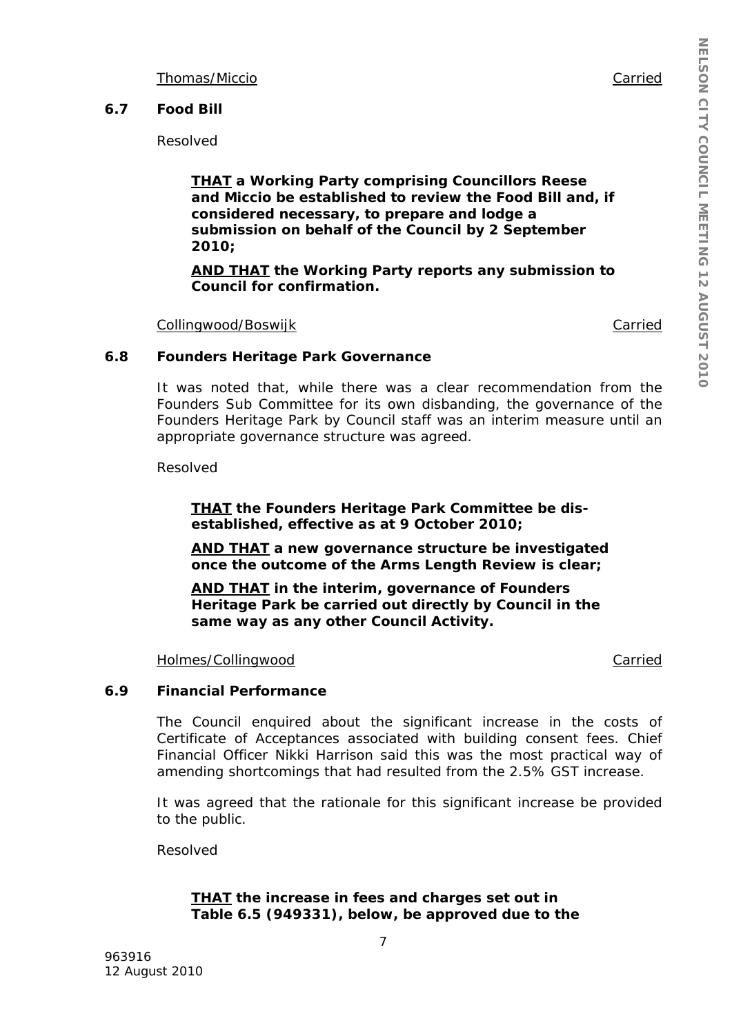Thomas/Miccio Carried

### **6.7 Food Bill**

Resolved

*THAT a Working Party comprising Councillors Reese and Miccio be established to review the Food Bill and, if considered necessary, to prepare and lodge a submission on behalf of the Council by 2 September 2010;* 

*AND THAT the Working Party reports any submission to Council for confirmation.* 

Collingwood/Boswijk Collingwood/Boswijk

#### **6.8 Founders Heritage Park Governance**

It was noted that, while there was a clear recommendation from the Founders Sub Committee for its own disbanding, the governance of the Founders Heritage Park by Council staff was an interim measure until an appropriate governance structure was agreed.

Resolved

*THAT the Founders Heritage Park Committee be disestablished, effective as at 9 October 2010;* 

*AND THAT a new governance structure be investigated once the outcome of the Arms Length Review is clear;* 

*AND THAT in the interim, governance of Founders Heritage Park be carried out directly by Council in the same way as any other Council Activity.* 

Holmes/Collingwood **Carried** Carried

#### **6.9 Financial Performance**

The Council enquired about the significant increase in the costs of Certificate of Acceptances associated with building consent fees. Chief Financial Officer Nikki Harrison said this was the most practical way of amending shortcomings that had resulted from the 2.5% GST increase.

It was agreed that the rationale for this significant increase be provided to the public.

Resolved

### *THAT the increase in fees and charges set out in Table 6.5 (949331), below, be approved due to the*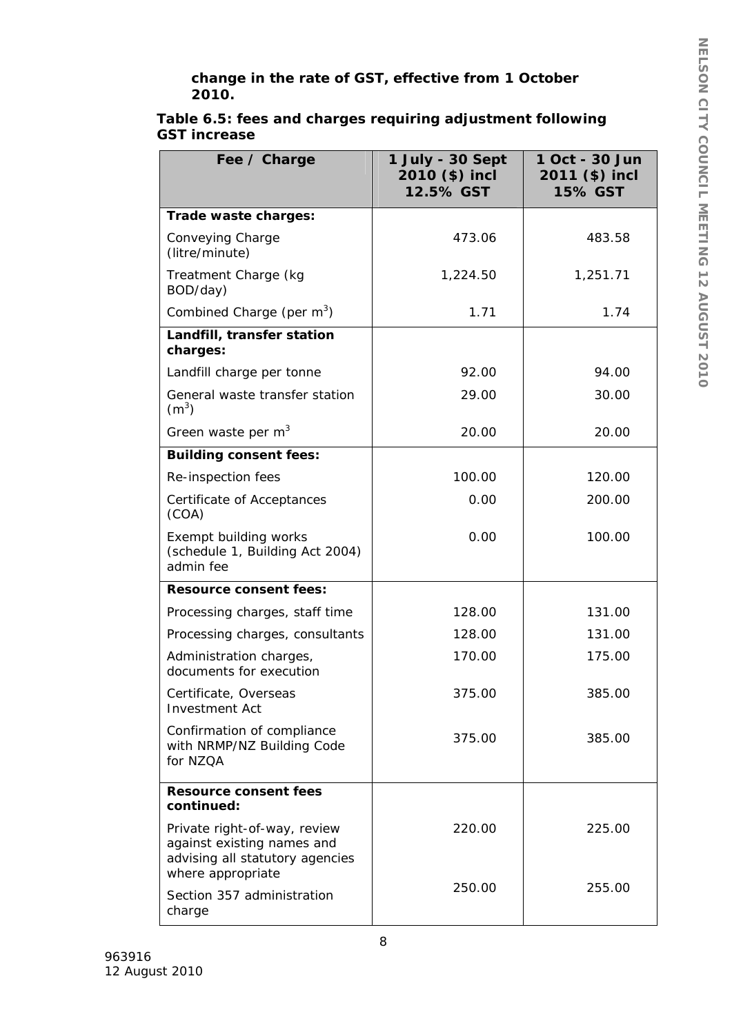## *change in the rate of GST, effective from 1 October 2010.*

| Fee / Charge                                                                                                                     | 1 July - 30 Sept<br>2010 (\$) incl<br>12.5% GST | 1 Oct - 30 Jun<br>2011 (\$) incl<br><b>15% GST</b> |
|----------------------------------------------------------------------------------------------------------------------------------|-------------------------------------------------|----------------------------------------------------|
| Trade waste charges:                                                                                                             |                                                 |                                                    |
| Conveying Charge<br>(litre/minute)                                                                                               | 473.06                                          | 483.58                                             |
| Treatment Charge (kg<br>BOD/day)                                                                                                 | 1,224.50                                        | 1,251.71                                           |
| Combined Charge (per m <sup>3</sup> )                                                                                            | 1.71                                            | 1.74                                               |
| Landfill, transfer station<br>charges:                                                                                           |                                                 |                                                    |
| Landfill charge per tonne                                                                                                        | 92.00                                           | 94.00                                              |
| General waste transfer station<br>(m <sup>3</sup> )                                                                              | 29.00                                           | 30.00                                              |
| Green waste per $m3$                                                                                                             | 20.00                                           | 20.00                                              |
| <b>Building consent fees:</b>                                                                                                    |                                                 |                                                    |
| Re-inspection fees                                                                                                               | 100.00                                          | 120.00                                             |
| Certificate of Acceptances<br>(COA)                                                                                              | 0.00                                            | 200.00                                             |
| Exempt building works<br>(schedule 1, Building Act 2004)<br>admin fee                                                            | 0.00                                            | 100.00                                             |
| <b>Resource consent fees:</b>                                                                                                    |                                                 |                                                    |
| Processing charges, staff time                                                                                                   | 128.00                                          | 131.00                                             |
| Processing charges, consultants                                                                                                  | 128.00                                          | 131.00                                             |
| Administration charges,<br>documents for execution                                                                               | 170.00                                          | 175.00                                             |
| Certificate, Overseas<br><b>Investment Act</b>                                                                                   | 375.00                                          | 385.00                                             |
| Confirmation of compliance<br>with NRMP/NZ Building Code<br>for NZQA                                                             | 375.00                                          | 385.00                                             |
| <b>Resource consent fees</b>                                                                                                     |                                                 |                                                    |
| continued:<br>Private right-of-way, review<br>against existing names and<br>advising all statutory agencies<br>where appropriate | 220.00                                          | 225.00                                             |
| Section 357 administration<br>charge                                                                                             | 250.00                                          | 255.00                                             |

## **Table 6.5: fees and charges requiring adjustment following GST increase**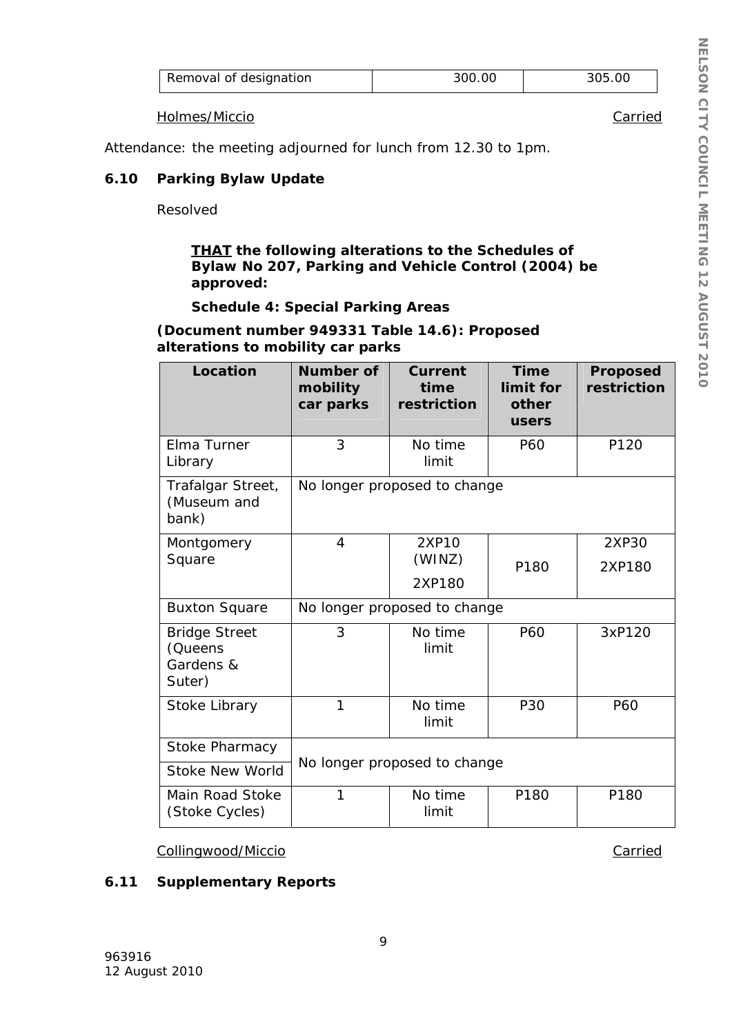| Removal of designation | 300.00 | 305.OC |
|------------------------|--------|--------|
|------------------------|--------|--------|

Holmes/Miccio Carried

Attendance: the meeting adjourned for lunch from 12.30 to 1pm.

## **6.10 Parking Bylaw Update**

Resolved

*THAT the following alterations to the Schedules of Bylaw No 207, Parking and Vehicle Control (2004) be approved:* 

### *Schedule 4: Special Parking Areas*

**(Document number 949331 Table 14.6): Proposed alterations to mobility car parks** 

| Location                                               | Number of<br>mobility<br>car parks | <b>Current</b><br>time<br>restriction | <b>Time</b><br>limit for<br>other<br>users | <b>Proposed</b><br>restriction |
|--------------------------------------------------------|------------------------------------|---------------------------------------|--------------------------------------------|--------------------------------|
| Elma Turner<br>Library                                 | 3                                  | No time<br>limit                      | P60                                        | P120                           |
| Trafalgar Street,<br>(Museum and<br>bank)              |                                    | No longer proposed to change          |                                            |                                |
| Montgomery                                             | 4                                  | 2XP10                                 |                                            | 2XP30                          |
| Square                                                 |                                    | (WINZ)                                | P180                                       | 2XP180                         |
|                                                        |                                    | 2XP180                                |                                            |                                |
| <b>Buxton Square</b>                                   | No longer proposed to change       |                                       |                                            |                                |
| <b>Bridge Street</b><br>(Queens<br>Gardens &<br>Suter) | 3                                  | No time<br>limit                      | P60                                        | 3xP120                         |
| Stoke Library                                          | 1                                  | No time<br>limit                      | <b>P30</b>                                 | P60                            |
| <b>Stoke Pharmacy</b>                                  |                                    |                                       |                                            |                                |
| <b>Stoke New World</b>                                 | No longer proposed to change       |                                       |                                            |                                |
| Main Road Stoke<br>(Stoke Cycles)                      | 1                                  | No time<br>limit                      | P180                                       | P180                           |

Collingwood/Miccio Carried

## **6.11 Supplementary Reports**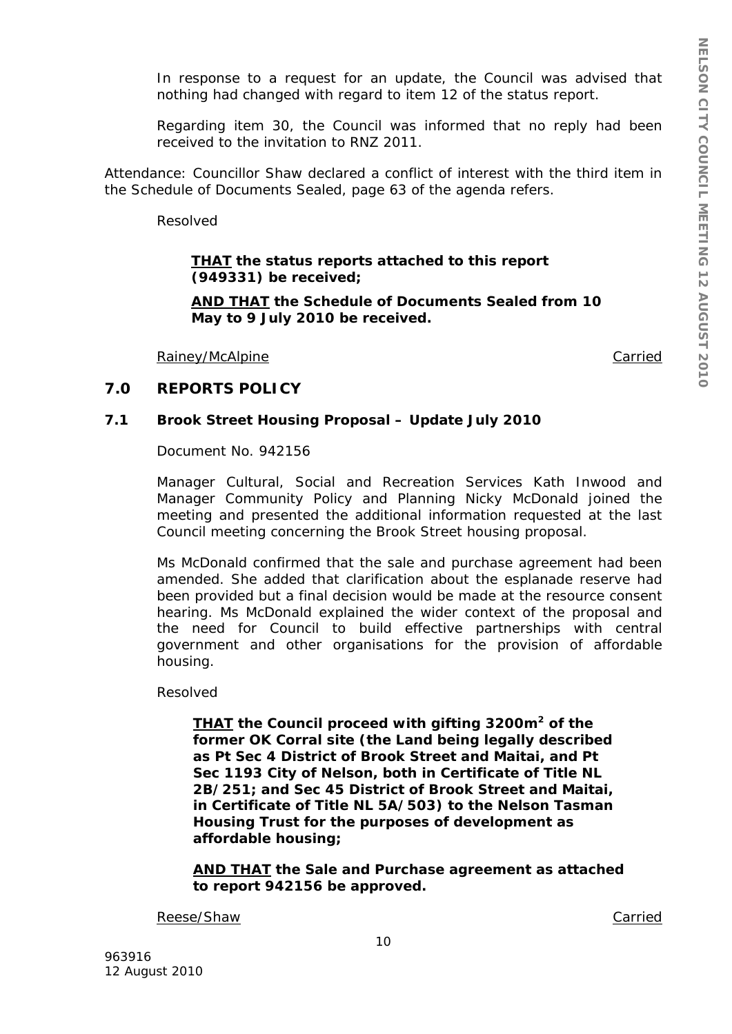In response to a request for an update, the Council was advised that nothing had changed with regard to item 12 of the status report.

Regarding item 30, the Council was informed that no reply had been received to the invitation to RNZ 2011.

Attendance: Councillor Shaw declared a conflict of interest with the third item in the Schedule of Documents Sealed, page 63 of the agenda refers.

Resolved

*THAT the status reports attached to this report (949331) be received;* 

*AND THAT the Schedule of Documents Sealed from 10 May to 9 July 2010 be received.* 

Rainey/McAlpine Carried

#### **7.0 REPORTS POLICY**

#### **7.1 Brook Street Housing Proposal – Update July 2010**

Document No. 942156

Manager Cultural, Social and Recreation Services Kath Inwood and Manager Community Policy and Planning Nicky McDonald joined the meeting and presented the additional information requested at the last Council meeting concerning the Brook Street housing proposal.

Ms McDonald confirmed that the sale and purchase agreement had been amended. She added that clarification about the esplanade reserve had been provided but a final decision would be made at the resource consent hearing. Ms McDonald explained the wider context of the proposal and the need for Council to build effective partnerships with central government and other organisations for the provision of affordable housing.

Resolved

*THAT the Council proceed with gifting 3200m2 of the former OK Corral site (the Land being legally described as Pt Sec 4 District of Brook Street and Maitai, and Pt Sec 1193 City of Nelson, both in Certificate of Title NL 2B/251; and Sec 45 District of Brook Street and Maitai, in Certificate of Title NL 5A/503) to the Nelson Tasman Housing Trust for the purposes of development as affordable housing;* 

*AND THAT the Sale and Purchase agreement as attached to report 942156 be approved.* 

Reese/Shaw Carried Carried Carried Carried Carried Carried Carried Carried Carried Carried Carried Carried Carried Carried Carried Carried Carried Carried Carried Carried Carried Carried Carried Carried Carried Carried Car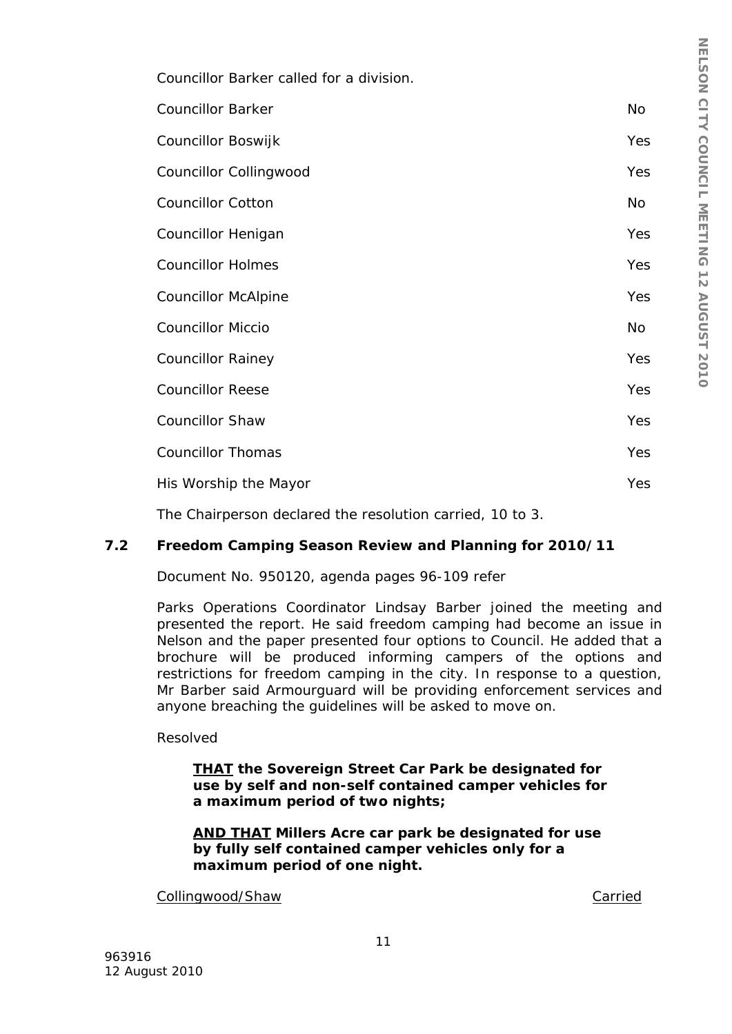Councillor Barker called for a division.

| <b>Councillor Barker</b>                                  | No         |
|-----------------------------------------------------------|------------|
| Councillor Boswijk                                        | <b>Yes</b> |
| Councillor Collingwood                                    | Yes        |
| <b>Councillor Cotton</b>                                  | No         |
| Councillor Henigan                                        | <b>Yes</b> |
| <b>Councillor Holmes</b>                                  | <b>Yes</b> |
| <b>Councillor McAlpine</b>                                | <b>Yes</b> |
| <b>Councillor Miccio</b>                                  | No         |
| <b>Councillor Rainey</b>                                  | <b>Yes</b> |
| <b>Councillor Reese</b>                                   | <b>Yes</b> |
| <b>Councillor Shaw</b>                                    | <b>Yes</b> |
| <b>Councillor Thomas</b>                                  | <b>Yes</b> |
| His Worship the Mayor                                     | <b>Yes</b> |
| The Chairperson declared the resolution carried, 10 to 3. |            |

# **7.2 Freedom Camping Season Review and Planning for 2010/11**

Document No. 950120, agenda pages 96-109 refer

Parks Operations Coordinator Lindsay Barber joined the meeting and presented the report. He said freedom camping had become an issue in Nelson and the paper presented four options to Council. He added that a brochure will be produced informing campers of the options and restrictions for freedom camping in the city. In response to a question, Mr Barber said Armourguard will be providing enforcement services and anyone breaching the guidelines will be asked to move on.

### Resolved

*THAT the Sovereign Street Car Park be designated for use by self and non-self contained camper vehicles for a maximum period of two nights;* 

*AND THAT Millers Acre car park be designated for use by fully self contained camper vehicles only for a maximum period of one night.* 

Collingwood/Shaw Carried Collingwood/Shaw Carried Carried Carried Carried Carried Carried Carried Carried Carried Carried Carried Carried Carried Carried Carried Carried Carried Carried Carried Carried Carried Carried Carr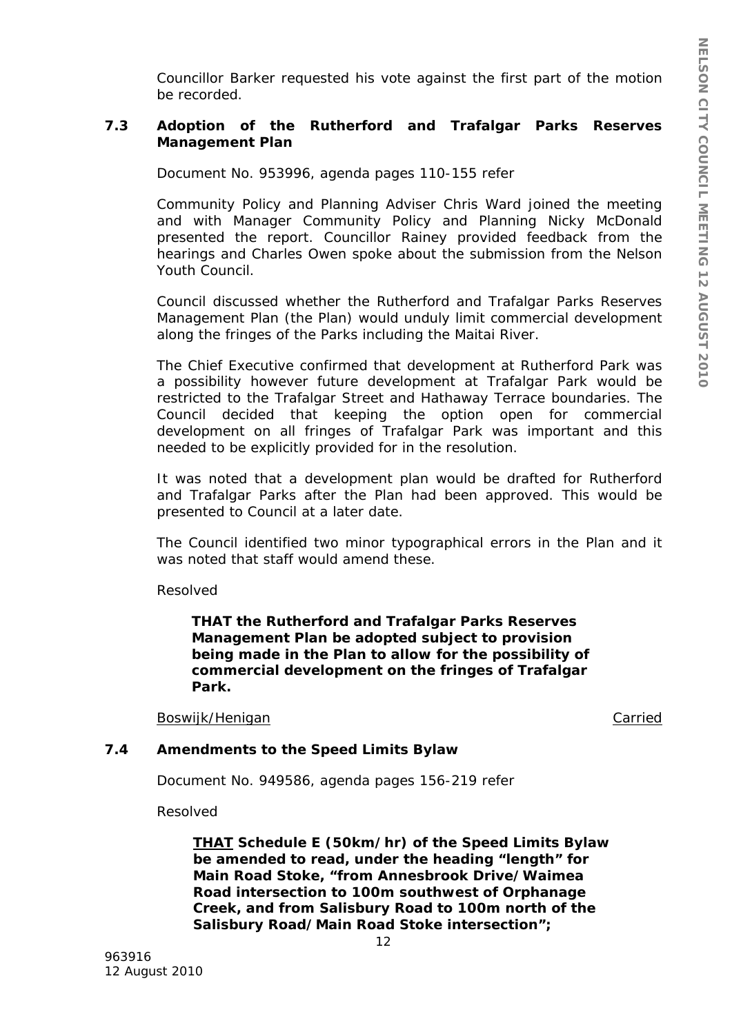Councillor Barker requested his vote against the first part of the motion be recorded.

## **7.3 Adoption of the Rutherford and Trafalgar Parks Reserves Management Plan**

Document No. 953996, agenda pages 110-155 refer

Community Policy and Planning Adviser Chris Ward joined the meeting and with Manager Community Policy and Planning Nicky McDonald presented the report. Councillor Rainey provided feedback from the hearings and Charles Owen spoke about the submission from the Nelson Youth Council.

Council discussed whether the Rutherford and Trafalgar Parks Reserves Management Plan (the Plan) would unduly limit commercial development along the fringes of the Parks including the Maitai River.

The Chief Executive confirmed that development at Rutherford Park was a possibility however future development at Trafalgar Park would be restricted to the Trafalgar Street and Hathaway Terrace boundaries. The Council decided that keeping the option open for commercial development on all fringes of Trafalgar Park was important and this needed to be explicitly provided for in the resolution.

It was noted that a development plan would be drafted for Rutherford and Trafalgar Parks after the Plan had been approved. This would be presented to Council at a later date.

The Council identified two minor typographical errors in the Plan and it was noted that staff would amend these.

Resolved

*THAT the Rutherford and Trafalgar Parks Reserves Management Plan be adopted subject to provision being made in the Plan to allow for the possibility of commercial development on the fringes of Trafalgar Park.* 

Boswijk/Henigan Carried

### **7.4 Amendments to the Speed Limits Bylaw**

Document No. 949586, agenda pages 156-219 refer

Resolved

*THAT Schedule E (50km/hr) of the Speed Limits Bylaw be amended to read, under the heading "length" for Main Road Stoke, "from Annesbrook Drive/Waimea Road intersection to 100m southwest of Orphanage Creek, and from Salisbury Road to 100m north of the Salisbury Road/Main Road Stoke intersection";*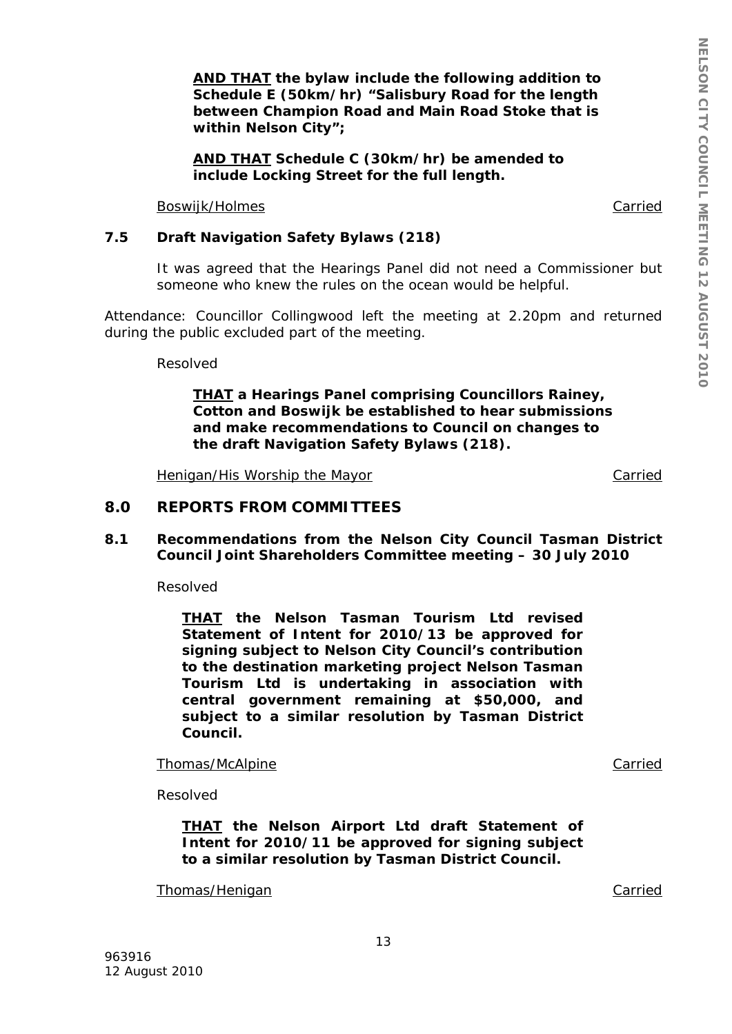*AND THAT the bylaw include the following addition to Schedule E (50km/hr) "Salisbury Road for the length between Champion Road and Main Road Stoke that is within Nelson City";* 

*AND THAT Schedule C (30km/hr) be amended to include Locking Street for the full length.* 

Boswijk/Holmes **Carried** Carried **Carried** Carried **Carried** 

## **7.5 Draft Navigation Safety Bylaws (218)**

It was agreed that the Hearings Panel did not need a Commissioner but someone who knew the rules on the ocean would be helpful.

Attendance: Councillor Collingwood left the meeting at 2.20pm and returned during the public excluded part of the meeting.

Resolved

*THAT a Hearings Panel comprising Councillors Rainey, Cotton and Boswijk be established to hear submissions and make recommendations to Council on changes to the draft Navigation Safety Bylaws (218).* 

Henigan/His Worship the Mayor Carried Carried

## **8.0 REPORTS FROM COMMITTEES**

**8.1 Recommendations from the Nelson City Council Tasman District Council Joint Shareholders Committee meeting – 30 July 2010** 

Resolved

*THAT the Nelson Tasman Tourism Ltd revised Statement of Intent for 2010/13 be approved for signing subject to Nelson City Council's contribution to the destination marketing project Nelson Tasman Tourism Ltd is undertaking in association with central government remaining at \$50,000, and subject to a similar resolution by Tasman District Council.* 

Thomas/McAlpine **Carried** Carried Carried Carried Carried Carried Carried Carried Carried Carried Carried Carried Carried Carried Carried Carried Carried Carried Carried Carried Carried Carried Carried Carried Carried Carr

Resolved

*THAT the Nelson Airport Ltd draft Statement of Intent for 2010/11 be approved for signing subject to a similar resolution by Tasman District Council.*

Thomas/Henigan Carried Carried Carried Carried Carried Carried Carried Carried Carried Carried Carried Carried Carried Carried Carried Carried Carried Carried Carried Carried Carried Carried Carried Carried Carried Carried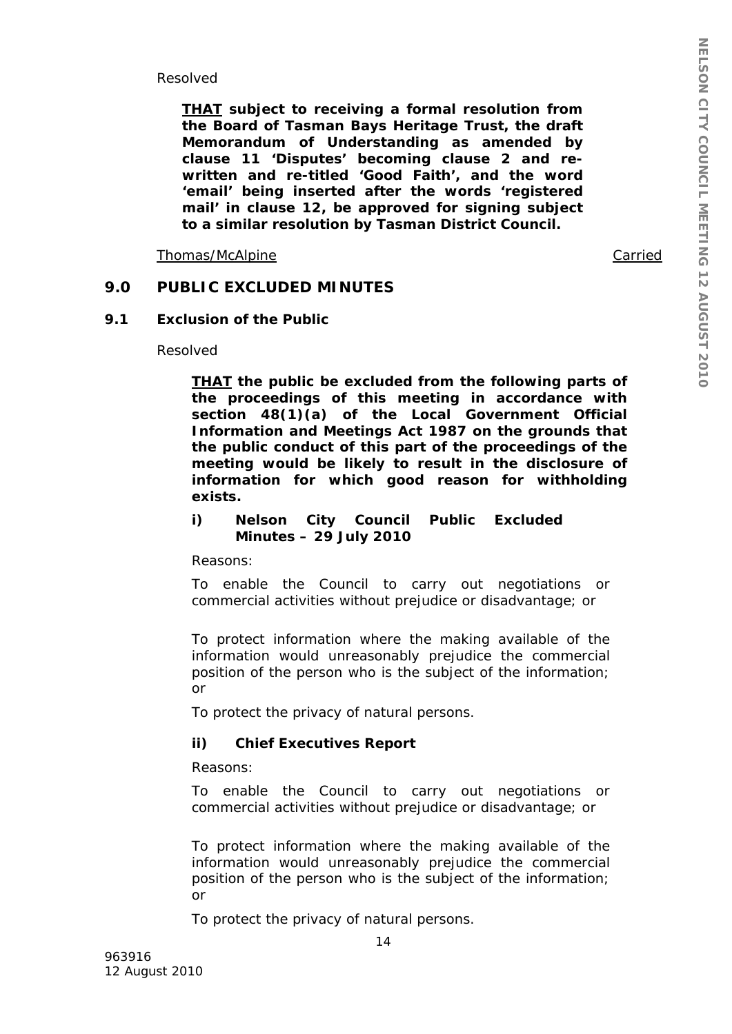Resolved

*THAT subject to receiving a formal resolution from the Board of Tasman Bays Heritage Trust, the draft Memorandum of Understanding as amended by clause 11 'Disputes' becoming clause 2 and rewritten and re-titled 'Good Faith', and the word 'email' being inserted after the words 'registered mail' in clause 12, be approved for signing subject to a similar resolution by Tasman District Council.* 

Thomas/McAlpine Carried

## **9.0 PUBLIC EXCLUDED MINUTES**

#### **9.1 Exclusion of the Public**

Resolved

*THAT the public be excluded from the following parts of the proceedings of this meeting in accordance with section 48(1)(a) of the Local Government Official Information and Meetings Act 1987 on the grounds that the public conduct of this part of the proceedings of the meeting would be likely to result in the disclosure of information for which good reason for withholding exists.* 

*i) Nelson City Council Public Excluded Minutes – 29 July 2010* 

*Reasons:* 

*To enable the Council to carry out negotiations or commercial activities without prejudice or disadvantage; or* 

*To protect information where the making available of the information would unreasonably prejudice the commercial position of the person who is the subject of the information; or* 

*To protect the privacy of natural persons.* 

### *ii) Chief Executives Report*

*Reasons:* 

*To enable the Council to carry out negotiations or commercial activities without prejudice or disadvantage; or* 

*To protect information where the making available of the information would unreasonably prejudice the commercial position of the person who is the subject of the information; or* 

*To protect the privacy of natural persons.*